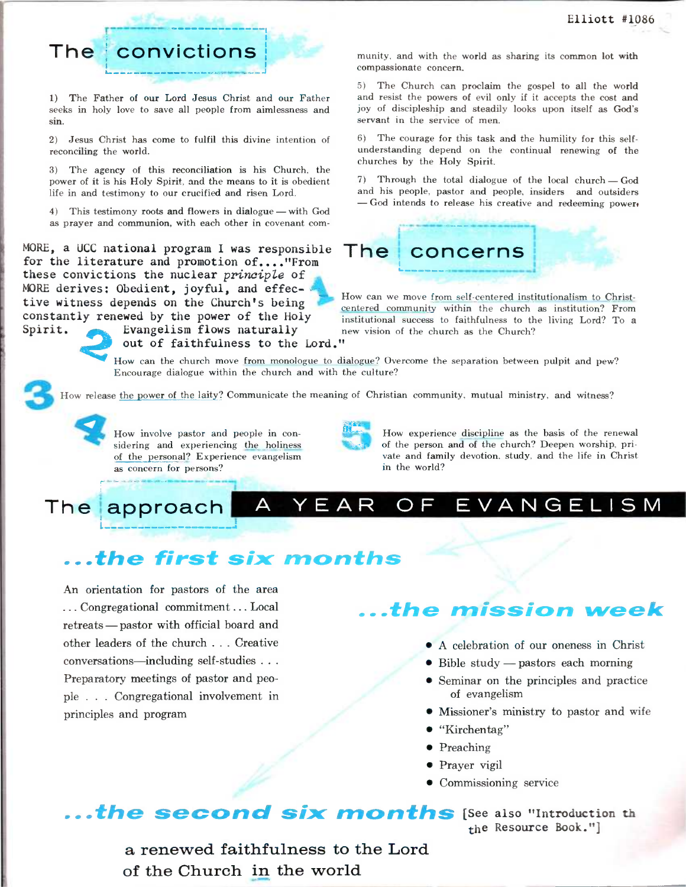

1) The Father of our Lord Jesus Christ and our Father seeks in holy love to save all people from aimlessness and sin.

2) Jesus Christ has come to fulfil this divine intention of reconciling the world.

3) The agency of this reconciliation is his Church, the power of it is his Holy Spirit, and the means to it is obedient life in and testimony to our crucified and risen Lord.

4) This testimony roots and flowers in dialogue — with God as prayer and communion, with each other in covenant com-

MORE, a UCC national program I was responsible for the literature and promotion of...."From these convictions the nuclear principle of MORE derives; Obedient, joyful, and effective witness depends on the Church's being constantly renewed by the power of the Holy  $2<sub>n</sub>$ Spirit. **Evangelism flows naturally** out of faithfulness to the Lord." munity, and with the world as sharing its common lot with compassionate concern.

5) The Church can proclaim the gospel to all the world and resist the powers of evil only if it accepts the cost and joy of discipleship and steadily looks upon itself as God's servant in the service of men.

6) The courage for this task and the humility for this selfunderstanding depend on the continual renewing of the churches by the Holy Spirit.

7) Through the total dialogue of the local church — God and his people, pastor and people, insiders and outsiders — God intends to release his creative and redeeming power.



How can we move from self-centered institutionalism to Christcentered community within the church as institution? From institutional success to faithfulness to the living Lord? To a new vision of the church as the Church?

How can the church move from monologue to dialogue? Overcome the separation between pulpit and pew? Encourage dialogue within the church and with the culture?

How release the power of the laity? Communicate the meaning of Christian community, mutual ministry, and witness?

How involve pastor and people in considering and experiencing the holiness of the personal? Experience evangelism as concern for persons?

How experience discipline as the basis of the renewal of the person and of the church? Deepen worship, private and family devotion, study, and the life in Christ in the world?

## **The approach A YEAR OF EVANGELISM**

## **...the first six months**

An orientation for pastors of the area ... Congregational commitment . .. Local retreats — pastor with official board and other leaders of the church . . . Creative conversations—including self-studies . . . Preparatory meetings of pastor and people . . . Congregational involvement in principles and program

## **...the mission week**

- A celebration of our oneness in Christ
- Bible study pastors each morning
- Seminar on the principles and practice of evangelism
- Missioner's ministry to pastor and wife
- "Kirchentag"
- Preaching
- Prayer vigil
- Commissioning service

**...the second six months** [See **also "Introduction th the Resource Book."]** 

> a renewed faithfulness to the Lord of the Church in the world